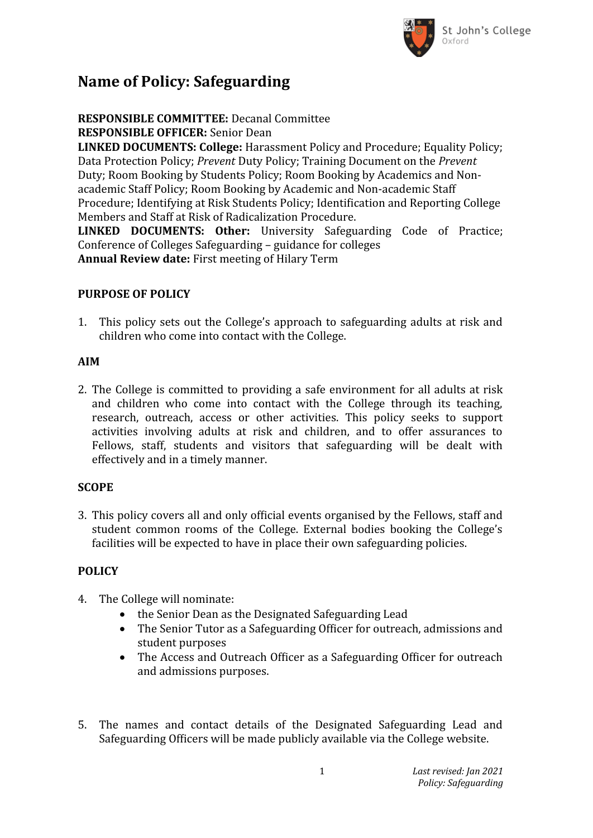

## **Name of Policy: Safeguarding**

**RESPONSIBLE COMMITTEE:** Decanal Committee **RESPONSIBLE OFFICER:** Senior Dean

**LINKED DOCUMENTS: College:** Harassment Policy and Procedure; Equality Policy; Data Protection Policy; *Prevent* Duty Policy; Training Document on the *Prevent*  Duty; Room Booking by Students Policy; Room Booking by Academics and Nonacademic Staff Policy; Room Booking by Academic and Non-academic Staff Procedure; Identifying at Risk Students Policy; Identification and Reporting College Members and Staff at Risk of Radicalization Procedure.

**LINKED DOCUMENTS: Other:** University Safeguarding Code of Practice; Conference of Colleges Safeguarding – guidance for colleges **Annual Review date:** First meeting of Hilary Term

#### **PURPOSE OF POLICY**

1. This policy sets out the College's approach to safeguarding adults at risk and children who come into contact with the College.

#### **AIM**

2. The College is committed to providing a safe environment for all adults at risk and children who come into contact with the College through its teaching, research, outreach, access or other activities. This policy seeks to support activities involving adults at risk and children, and to offer assurances to Fellows, staff, students and visitors that safeguarding will be dealt with effectively and in a timely manner.

#### **SCOPE**

3. This policy covers all and only official events organised by the Fellows, staff and student common rooms of the College. External bodies booking the College's facilities will be expected to have in place their own safeguarding policies.

#### **POLICY**

- 4. The College will nominate:
	- the Senior Dean as the Designated Safeguarding Lead
	- The Senior Tutor as a Safeguarding Officer for outreach, admissions and student purposes
	- The Access and Outreach Officer as a Safeguarding Officer for outreach and admissions purposes.
- 5. The names and contact details of the Designated Safeguarding Lead and Safeguarding Officers will be made publicly available via the College website.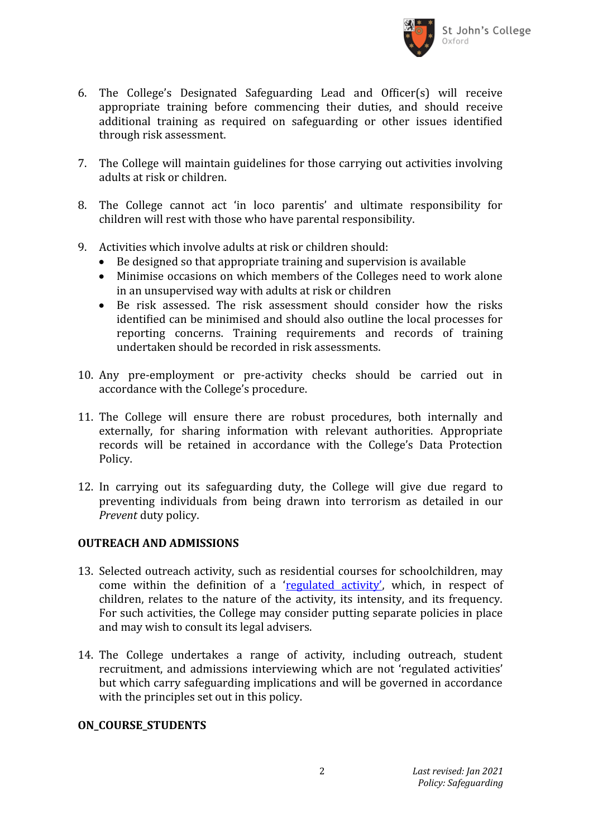

- 6. The College's Designated Safeguarding Lead and Officer(s) will receive appropriate training before commencing their duties, and should receive additional training as required on safeguarding or other issues identified through risk assessment.
- 7. The College will maintain guidelines for those carrying out activities involving adults at risk or children.
- 8. The College cannot act 'in loco parentis' and ultimate responsibility for children will rest with those who have parental responsibility.
- 9. Activities which involve adults at risk or children should:
	- Be designed so that appropriate training and supervision is available
	- Minimise occasions on which members of the Colleges need to work alone in an unsupervised way with adults at risk or children
	- Be risk assessed. The risk assessment should consider how the risks identified can be minimised and should also outline the local processes for reporting concerns. Training requirements and records of training undertaken should be recorded in risk assessments.
- 10. Any pre-employment or pre-activity checks should be carried out in accordance with the College's procedure.
- 11. The College will ensure there are robust procedures, both internally and externally, for sharing information with relevant authorities. Appropriate records will be retained in accordance with the College's Data Protection Policy.
- 12. In carrying out its safeguarding duty, the College will give due regard to preventing individuals from being drawn into terrorism as detailed in our *Prevent* duty policy.

#### **OUTREACH AND ADMISSIONS**

- 13. Selected outreach activity, such as residential courses for schoolchildren, may come within the definition of a'[regulated activity',](https://www.gov.uk/government/publications/keeping-children-safe-in-education--2) which, in respect of children, relates to the nature of the activity, its intensity, and its frequency. For such activities, the College may consider putting separate policies in place and may wish to consult its legal advisers.
- 14. The College undertakes a range of activity, including outreach, student recruitment, and admissions interviewing which are not 'regulated activities' but which carry safeguarding implications and will be governed in accordance with the principles set out in this policy.

#### **ON\_COURSE\_STUDENTS**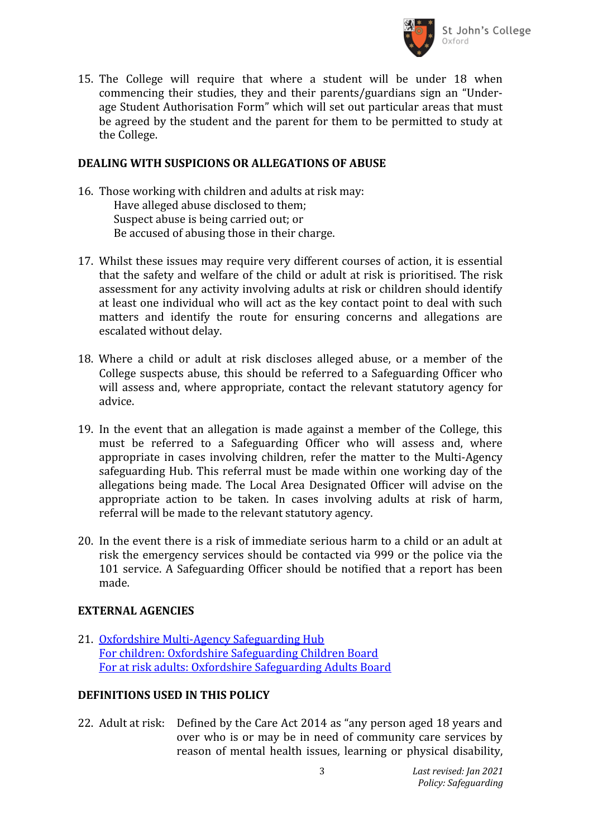

15. The College will require that where a student will be under 18 when commencing their studies, they and their parents/guardians sign an "Underage Student Authorisation Form" which will set out particular areas that must be agreed by the student and the parent for them to be permitted to study at the College.

#### **DEALING WITH SUSPICIONS OR ALLEGATIONS OF ABUSE**

- 16. Those working with children and adults at risk may: Have alleged abuse disclosed to them; Suspect abuse is being carried out; or Be accused of abusing those in their charge.
- 17. Whilst these issues may require very different courses of action, it is essential that the safety and welfare of the child or adult at risk is prioritised. The risk assessment for any activity involving adults at risk or children should identify at least one individual who will act as the key contact point to deal with such matters and identify the route for ensuring concerns and allegations are escalated without delay.
- 18. Where a child or adult at risk discloses alleged abuse, or a member of the College suspects abuse, this should be referred to a Safeguarding Officer who will assess and, where appropriate, contact the relevant statutory agency for advice.
- 19. In the event that an allegation is made against a member of the College, this must be referred to a Safeguarding Officer who will assess and, where appropriate in cases involving children, refer the matter to the Multi-Agency safeguarding Hub. This referral must be made within one working day of the allegations being made. The Local Area Designated Officer will advise on the appropriate action to be taken. In cases involving adults at risk of harm, referral will be made to the relevant statutory agency.
- 20. In the event there is a risk of immediate serious harm to a child or an adult at risk the emergency services should be contacted via 999 or the police via the 101 service. A Safeguarding Officer should be notified that a report has been made.

#### **EXTERNAL AGENCIES**

21. [Oxfordshire Multi-Agency Safeguarding Hub](https://www.oxfordshire.gov.uk/cms/content/multi-agency-safeguarding-hub) [For children: Oxfordshire Safeguarding Children Board](http://www.oscb.org.uk/) [For at risk adults: Oxfordshire Safeguarding Adults Board](http://www.osab.co.uk/)

### **DEFINITIONS USED IN THIS POLICY**

22. Adult at risk: Defined by the Care Act 2014 as "any person aged 18 years and over who is or may be in need of community care services by reason of mental health issues, learning or physical disability,